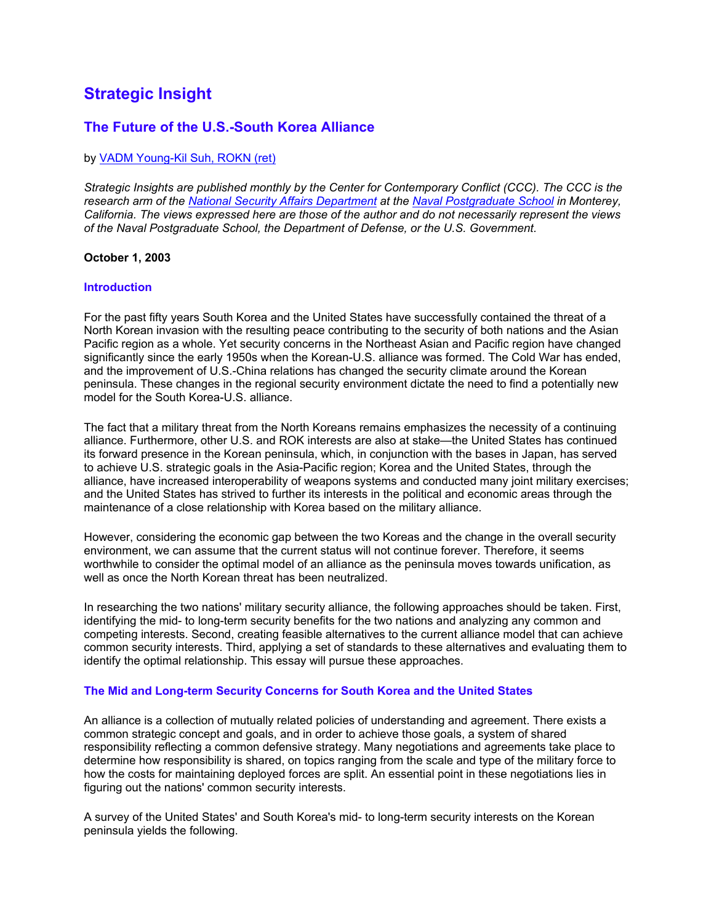# **Strategic Insight**

# **The Future of the U.S.-South Korea Alliance**

# by VADM Young-Kil Suh, ROKN (ret)

*Strategic Insights are published monthly by the Center for Contemporary Conflict (CCC). The CCC is the research arm of the National Security Affairs Department at the [Naval Postgraduate School](http://www.nps.navy.mil/) in Monterey, California. The views expressed here are those of the author and do not necessarily represent the views of the Naval Postgraduate School, the Department of Defense, or the U.S. Government.* 

#### **October 1, 2003**

#### **Introduction**

For the past fifty years South Korea and the United States have successfully contained the threat of a North Korean invasion with the resulting peace contributing to the security of both nations and the Asian Pacific region as a whole. Yet security concerns in the Northeast Asian and Pacific region have changed significantly since the early 1950s when the Korean-U.S. alliance was formed. The Cold War has ended, and the improvement of U.S.-China relations has changed the security climate around the Korean peninsula. These changes in the regional security environment dictate the need to find a potentially new model for the South Korea-U.S. alliance.

The fact that a military threat from the North Koreans remains emphasizes the necessity of a continuing alliance. Furthermore, other U.S. and ROK interests are also at stake—the United States has continued its forward presence in the Korean peninsula, which, in conjunction with the bases in Japan, has served to achieve U.S. strategic goals in the Asia-Pacific region; Korea and the United States, through the alliance, have increased interoperability of weapons systems and conducted many joint military exercises; and the United States has strived to further its interests in the political and economic areas through the maintenance of a close relationship with Korea based on the military alliance.

However, considering the economic gap between the two Koreas and the change in the overall security environment, we can assume that the current status will not continue forever. Therefore, it seems worthwhile to consider the optimal model of an alliance as the peninsula moves towards unification, as well as once the North Korean threat has been neutralized.

In researching the two nations' military security alliance, the following approaches should be taken. First, identifying the mid- to long-term security benefits for the two nations and analyzing any common and competing interests. Second, creating feasible alternatives to the current alliance model that can achieve common security interests. Third, applying a set of standards to these alternatives and evaluating them to identify the optimal relationship. This essay will pursue these approaches.

#### **The Mid and Long-term Security Concerns for South Korea and the United States**

An alliance is a collection of mutually related policies of understanding and agreement. There exists a common strategic concept and goals, and in order to achieve those goals, a system of shared responsibility reflecting a common defensive strategy. Many negotiations and agreements take place to determine how responsibility is shared, on topics ranging from the scale and type of the military force to how the costs for maintaining deployed forces are split. An essential point in these negotiations lies in figuring out the nations' common security interests.

A survey of the United States' and South Korea's mid- to long-term security interests on the Korean peninsula yields the following.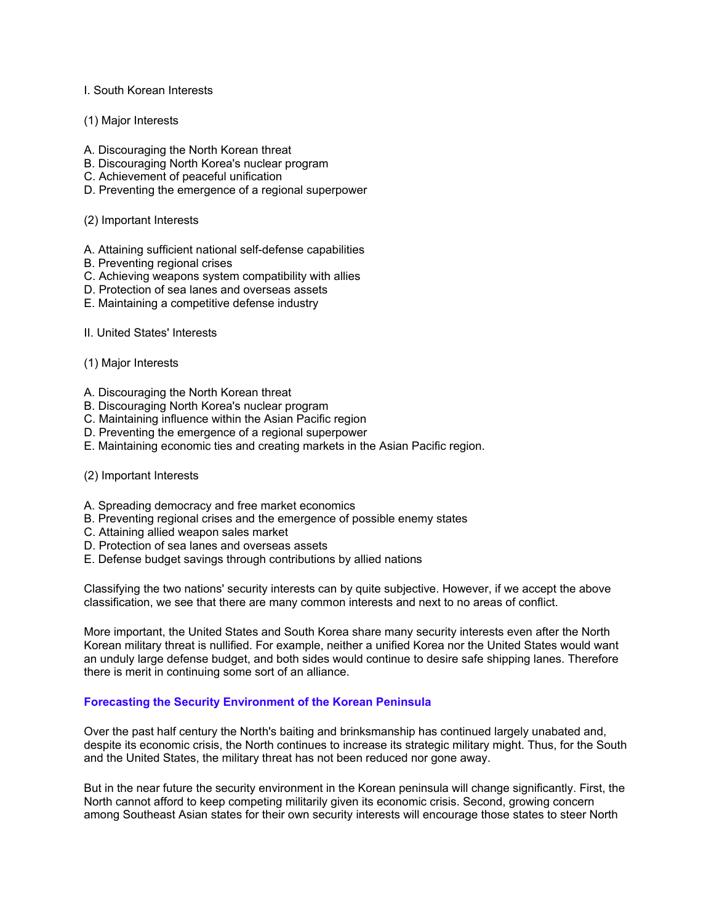## I. South Korean Interests

## (1) Major Interests

- A. Discouraging the North Korean threat
- B. Discouraging North Korea's nuclear program
- C. Achievement of peaceful unification
- D. Preventing the emergence of a regional superpower

# (2) Important Interests

- A. Attaining sufficient national self-defense capabilities
- B. Preventing regional crises
- C. Achieving weapons system compatibility with allies
- D. Protection of sea lanes and overseas assets
- E. Maintaining a competitive defense industry
- II. United States' Interests
- (1) Major Interests
- A. Discouraging the North Korean threat
- B. Discouraging North Korea's nuclear program
- C. Maintaining influence within the Asian Pacific region
- D. Preventing the emergence of a regional superpower
- E. Maintaining economic ties and creating markets in the Asian Pacific region.

#### (2) Important Interests

- A. Spreading democracy and free market economics
- B. Preventing regional crises and the emergence of possible enemy states
- C. Attaining allied weapon sales market
- D. Protection of sea lanes and overseas assets
- E. Defense budget savings through contributions by allied nations

Classifying the two nations' security interests can by quite subjective. However, if we accept the above classification, we see that there are many common interests and next to no areas of conflict.

More important, the United States and South Korea share many security interests even after the North Korean military threat is nullified. For example, neither a unified Korea nor the United States would want an unduly large defense budget, and both sides would continue to desire safe shipping lanes. Therefore there is merit in continuing some sort of an alliance.

# **Forecasting the Security Environment of the Korean Peninsula**

Over the past half century the North's baiting and brinksmanship has continued largely unabated and, despite its economic crisis, the North continues to increase its strategic military might. Thus, for the South and the United States, the military threat has not been reduced nor gone away.

But in the near future the security environment in the Korean peninsula will change significantly. First, the North cannot afford to keep competing militarily given its economic crisis. Second, growing concern among Southeast Asian states for their own security interests will encourage those states to steer North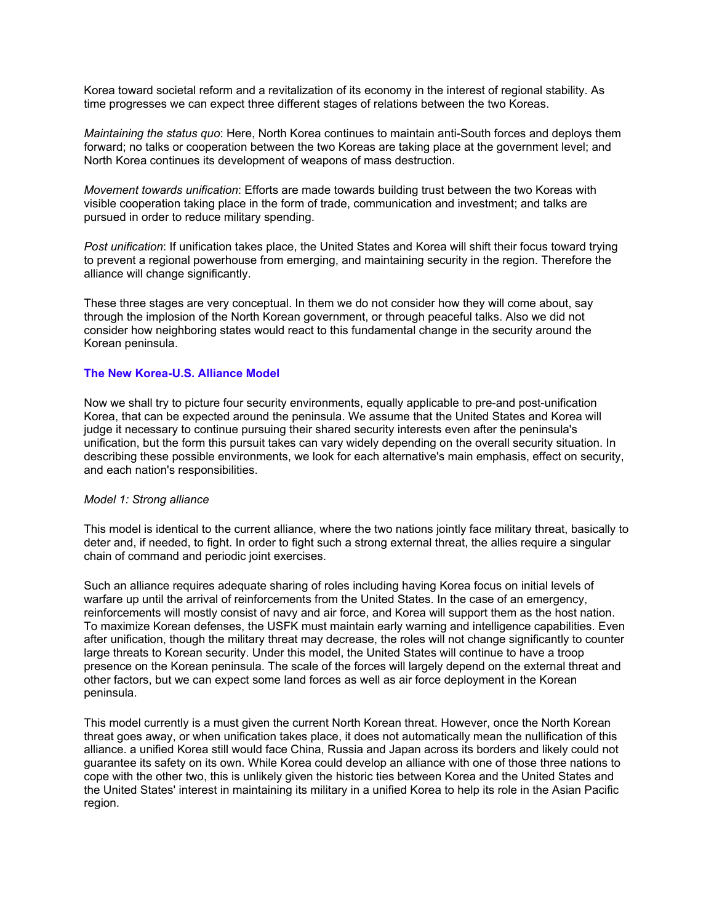Korea toward societal reform and a revitalization of its economy in the interest of regional stability. As time progresses we can expect three different stages of relations between the two Koreas.

*Maintaining the status quo*: Here, North Korea continues to maintain anti-South forces and deploys them forward; no talks or cooperation between the two Koreas are taking place at the government level; and North Korea continues its development of weapons of mass destruction.

*Movement towards unification*: Efforts are made towards building trust between the two Koreas with visible cooperation taking place in the form of trade, communication and investment; and talks are pursued in order to reduce military spending.

*Post unification*: If unification takes place, the United States and Korea will shift their focus toward trying to prevent a regional powerhouse from emerging, and maintaining security in the region. Therefore the alliance will change significantly.

These three stages are very conceptual. In them we do not consider how they will come about, say through the implosion of the North Korean government, or through peaceful talks. Also we did not consider how neighboring states would react to this fundamental change in the security around the Korean peninsula.

#### **The New Korea-U.S. Alliance Model**

Now we shall try to picture four security environments, equally applicable to pre-and post-unification Korea, that can be expected around the peninsula. We assume that the United States and Korea will judge it necessary to continue pursuing their shared security interests even after the peninsula's unification, but the form this pursuit takes can vary widely depending on the overall security situation. In describing these possible environments, we look for each alternative's main emphasis, effect on security, and each nation's responsibilities.

#### *Model 1: Strong alliance*

This model is identical to the current alliance, where the two nations jointly face military threat, basically to deter and, if needed, to fight. In order to fight such a strong external threat, the allies require a singular chain of command and periodic joint exercises.

Such an alliance requires adequate sharing of roles including having Korea focus on initial levels of warfare up until the arrival of reinforcements from the United States. In the case of an emergency, reinforcements will mostly consist of navy and air force, and Korea will support them as the host nation. To maximize Korean defenses, the USFK must maintain early warning and intelligence capabilities. Even after unification, though the military threat may decrease, the roles will not change significantly to counter large threats to Korean security. Under this model, the United States will continue to have a troop presence on the Korean peninsula. The scale of the forces will largely depend on the external threat and other factors, but we can expect some land forces as well as air force deployment in the Korean peninsula.

This model currently is a must given the current North Korean threat. However, once the North Korean threat goes away, or when unification takes place, it does not automatically mean the nullification of this alliance. a unified Korea still would face China, Russia and Japan across its borders and likely could not guarantee its safety on its own. While Korea could develop an alliance with one of those three nations to cope with the other two, this is unlikely given the historic ties between Korea and the United States and the United States' interest in maintaining its military in a unified Korea to help its role in the Asian Pacific region.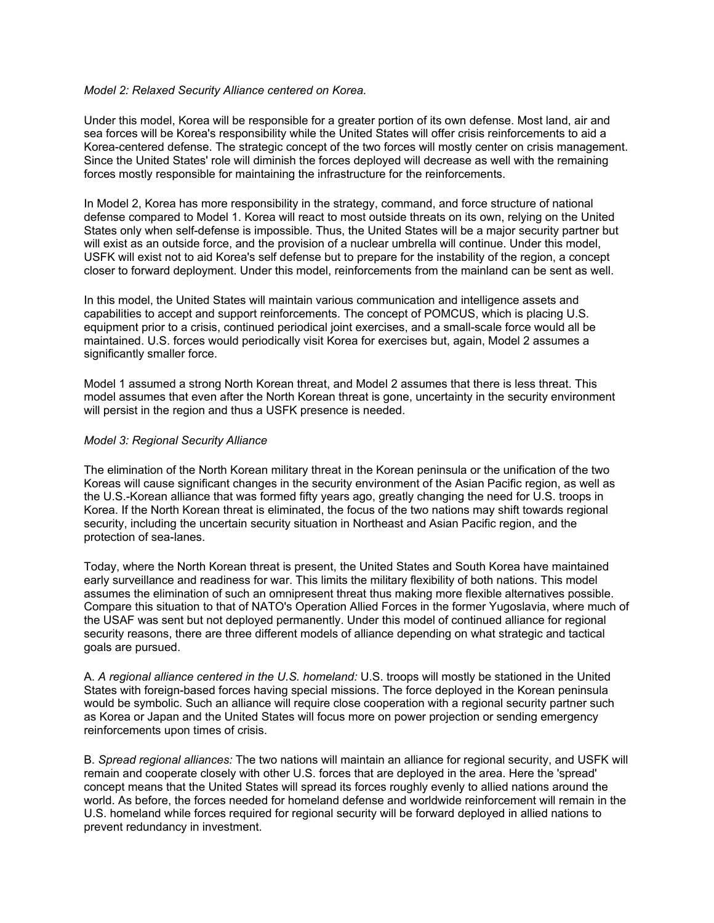#### *Model 2: Relaxed Security Alliance centered on Korea.*

Under this model, Korea will be responsible for a greater portion of its own defense. Most land, air and sea forces will be Korea's responsibility while the United States will offer crisis reinforcements to aid a Korea-centered defense. The strategic concept of the two forces will mostly center on crisis management. Since the United States' role will diminish the forces deployed will decrease as well with the remaining forces mostly responsible for maintaining the infrastructure for the reinforcements.

In Model 2, Korea has more responsibility in the strategy, command, and force structure of national defense compared to Model 1. Korea will react to most outside threats on its own, relying on the United States only when self-defense is impossible. Thus, the United States will be a major security partner but will exist as an outside force, and the provision of a nuclear umbrella will continue. Under this model, USFK will exist not to aid Korea's self defense but to prepare for the instability of the region, a concept closer to forward deployment. Under this model, reinforcements from the mainland can be sent as well.

In this model, the United States will maintain various communication and intelligence assets and capabilities to accept and support reinforcements. The concept of POMCUS, which is placing U.S. equipment prior to a crisis, continued periodical joint exercises, and a small-scale force would all be maintained. U.S. forces would periodically visit Korea for exercises but, again, Model 2 assumes a significantly smaller force.

Model 1 assumed a strong North Korean threat, and Model 2 assumes that there is less threat. This model assumes that even after the North Korean threat is gone, uncertainty in the security environment will persist in the region and thus a USFK presence is needed.

#### *Model 3: Regional Security Alliance*

The elimination of the North Korean military threat in the Korean peninsula or the unification of the two Koreas will cause significant changes in the security environment of the Asian Pacific region, as well as the U.S.-Korean alliance that was formed fifty years ago, greatly changing the need for U.S. troops in Korea. If the North Korean threat is eliminated, the focus of the two nations may shift towards regional security, including the uncertain security situation in Northeast and Asian Pacific region, and the protection of sea-lanes.

Today, where the North Korean threat is present, the United States and South Korea have maintained early surveillance and readiness for war. This limits the military flexibility of both nations. This model assumes the elimination of such an omnipresent threat thus making more flexible alternatives possible. Compare this situation to that of NATO's Operation Allied Forces in the former Yugoslavia, where much of the USAF was sent but not deployed permanently. Under this model of continued alliance for regional security reasons, there are three different models of alliance depending on what strategic and tactical goals are pursued.

A. *A regional alliance centered in the U.S. homeland:* U.S. troops will mostly be stationed in the United States with foreign-based forces having special missions. The force deployed in the Korean peninsula would be symbolic. Such an alliance will require close cooperation with a regional security partner such as Korea or Japan and the United States will focus more on power projection or sending emergency reinforcements upon times of crisis.

B. *Spread regional alliances:* The two nations will maintain an alliance for regional security, and USFK will remain and cooperate closely with other U.S. forces that are deployed in the area. Here the 'spread' concept means that the United States will spread its forces roughly evenly to allied nations around the world. As before, the forces needed for homeland defense and worldwide reinforcement will remain in the U.S. homeland while forces required for regional security will be forward deployed in allied nations to prevent redundancy in investment.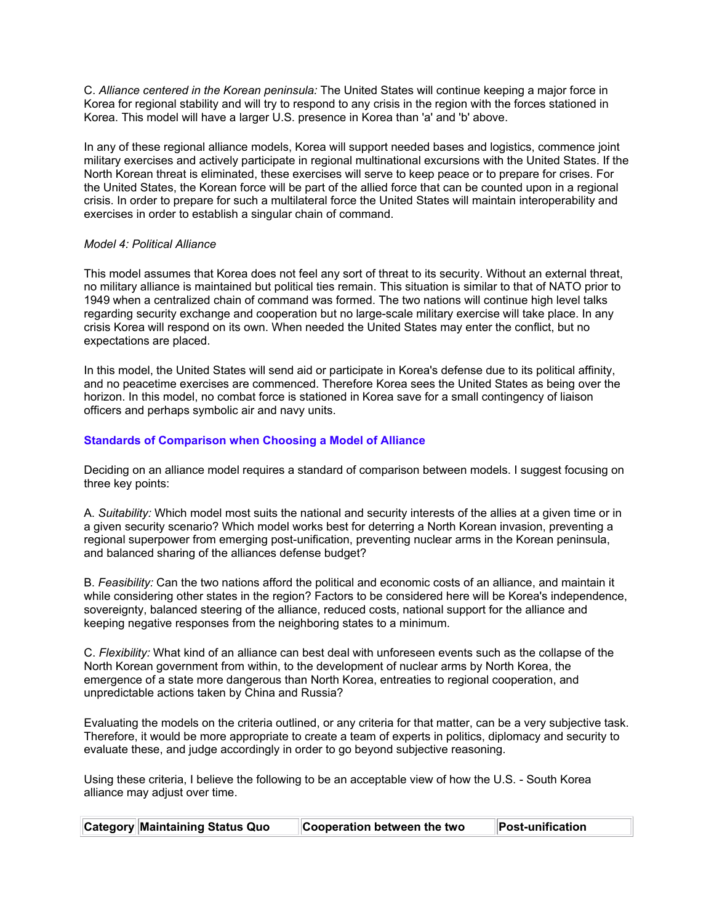C. *Alliance centered in the Korean peninsula:* The United States will continue keeping a major force in Korea for regional stability and will try to respond to any crisis in the region with the forces stationed in Korea. This model will have a larger U.S. presence in Korea than 'a' and 'b' above.

In any of these regional alliance models, Korea will support needed bases and logistics, commence joint military exercises and actively participate in regional multinational excursions with the United States. If the North Korean threat is eliminated, these exercises will serve to keep peace or to prepare for crises. For the United States, the Korean force will be part of the allied force that can be counted upon in a regional crisis. In order to prepare for such a multilateral force the United States will maintain interoperability and exercises in order to establish a singular chain of command.

# *Model 4: Political Alliance*

This model assumes that Korea does not feel any sort of threat to its security. Without an external threat, no military alliance is maintained but political ties remain. This situation is similar to that of NATO prior to 1949 when a centralized chain of command was formed. The two nations will continue high level talks regarding security exchange and cooperation but no large-scale military exercise will take place. In any crisis Korea will respond on its own. When needed the United States may enter the conflict, but no expectations are placed.

In this model, the United States will send aid or participate in Korea's defense due to its political affinity, and no peacetime exercises are commenced. Therefore Korea sees the United States as being over the horizon. In this model, no combat force is stationed in Korea save for a small contingency of liaison officers and perhaps symbolic air and navy units.

# **Standards of Comparison when Choosing a Model of Alliance**

Deciding on an alliance model requires a standard of comparison between models. I suggest focusing on three key points:

A. *Suitability:* Which model most suits the national and security interests of the allies at a given time or in a given security scenario? Which model works best for deterring a North Korean invasion, preventing a regional superpower from emerging post-unification, preventing nuclear arms in the Korean peninsula, and balanced sharing of the alliances defense budget?

B. *Feasibility:* Can the two nations afford the political and economic costs of an alliance, and maintain it while considering other states in the region? Factors to be considered here will be Korea's independence, sovereignty, balanced steering of the alliance, reduced costs, national support for the alliance and keeping negative responses from the neighboring states to a minimum.

C. *Flexibility:* What kind of an alliance can best deal with unforeseen events such as the collapse of the North Korean government from within, to the development of nuclear arms by North Korea, the emergence of a state more dangerous than North Korea, entreaties to regional cooperation, and unpredictable actions taken by China and Russia?

Evaluating the models on the criteria outlined, or any criteria for that matter, can be a very subjective task. Therefore, it would be more appropriate to create a team of experts in politics, diplomacy and security to evaluate these, and judge accordingly in order to go beyond subjective reasoning.

Using these criteria, I believe the following to be an acceptable view of how the U.S. - South Korea alliance may adjust over time.

| Category Maintaining Status Quo<br>Cooperation between the two<br>Post-unification |  |
|------------------------------------------------------------------------------------|--|
|------------------------------------------------------------------------------------|--|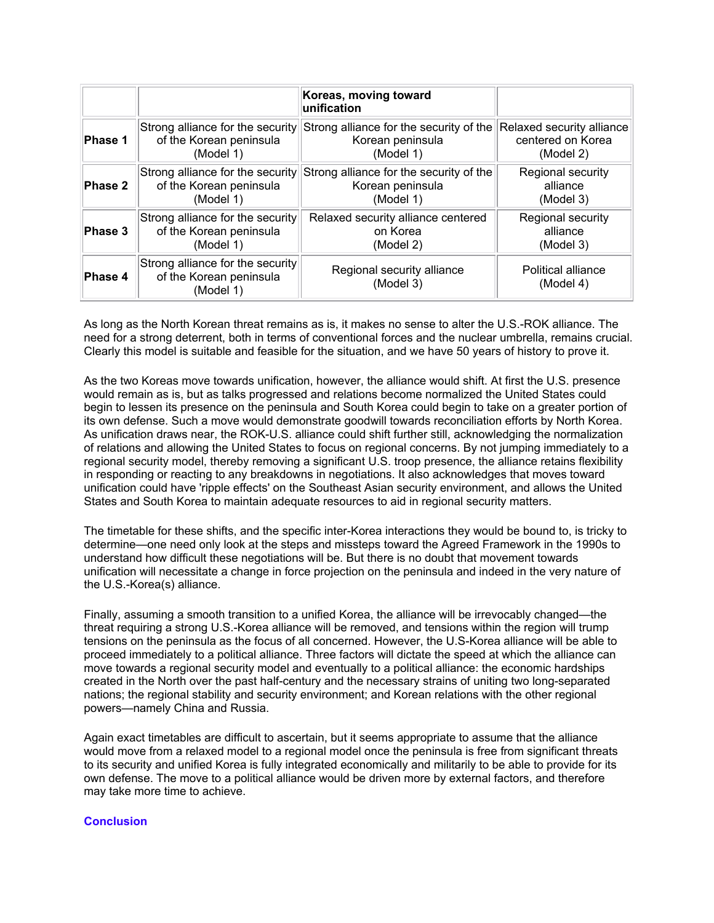|         |                                                                          | Koreas, moving toward<br>unification    |                                 |
|---------|--------------------------------------------------------------------------|-----------------------------------------|---------------------------------|
| Phase 1 | Strong alliance for the security                                         | Strong alliance for the security of the | Relaxed security alliance       |
|         | of the Korean peninsula                                                  | Korean peninsula                        | centered on Korea               |
|         | (Model 1)                                                                | (Model 1)                               | (Model 2)                       |
| Phase 2 | Strong alliance for the security                                         | Strong alliance for the security of the | Regional security               |
|         | of the Korean peninsula                                                  | Korean peninsula                        | alliance                        |
|         | (Model 1)                                                                | (Model 1)                               | (Model 3)                       |
| Phase 3 | Strong alliance for the security                                         | Relaxed security alliance centered      | Regional security               |
|         | of the Korean peninsula                                                  | on Korea                                | alliance                        |
|         | (Model 1)                                                                | (Model 2)                               | (Model 3)                       |
| Phase 4 | Strong alliance for the security<br>of the Korean peninsula<br>(Model 1) | Regional security alliance<br>(Model 3) | Political alliance<br>(Model 4) |

As long as the North Korean threat remains as is, it makes no sense to alter the U.S.-ROK alliance. The need for a strong deterrent, both in terms of conventional forces and the nuclear umbrella, remains crucial. Clearly this model is suitable and feasible for the situation, and we have 50 years of history to prove it.

As the two Koreas move towards unification, however, the alliance would shift. At first the U.S. presence would remain as is, but as talks progressed and relations become normalized the United States could begin to lessen its presence on the peninsula and South Korea could begin to take on a greater portion of its own defense. Such a move would demonstrate goodwill towards reconciliation efforts by North Korea. As unification draws near, the ROK-U.S. alliance could shift further still, acknowledging the normalization of relations and allowing the United States to focus on regional concerns. By not jumping immediately to a regional security model, thereby removing a significant U.S. troop presence, the alliance retains flexibility in responding or reacting to any breakdowns in negotiations. It also acknowledges that moves toward unification could have 'ripple effects' on the Southeast Asian security environment, and allows the United States and South Korea to maintain adequate resources to aid in regional security matters.

The timetable for these shifts, and the specific inter-Korea interactions they would be bound to, is tricky to determine—one need only look at the steps and missteps toward the Agreed Framework in the 1990s to understand how difficult these negotiations will be. But there is no doubt that movement towards unification will necessitate a change in force projection on the peninsula and indeed in the very nature of the U.S.-Korea(s) alliance.

Finally, assuming a smooth transition to a unified Korea, the alliance will be irrevocably changed—the threat requiring a strong U.S.-Korea alliance will be removed, and tensions within the region will trump tensions on the peninsula as the focus of all concerned. However, the U.S-Korea alliance will be able to proceed immediately to a political alliance. Three factors will dictate the speed at which the alliance can move towards a regional security model and eventually to a political alliance: the economic hardships created in the North over the past half-century and the necessary strains of uniting two long-separated nations; the regional stability and security environment; and Korean relations with the other regional powers—namely China and Russia.

Again exact timetables are difficult to ascertain, but it seems appropriate to assume that the alliance would move from a relaxed model to a regional model once the peninsula is free from significant threats to its security and unified Korea is fully integrated economically and militarily to be able to provide for its own defense. The move to a political alliance would be driven more by external factors, and therefore may take more time to achieve.

#### **Conclusion**